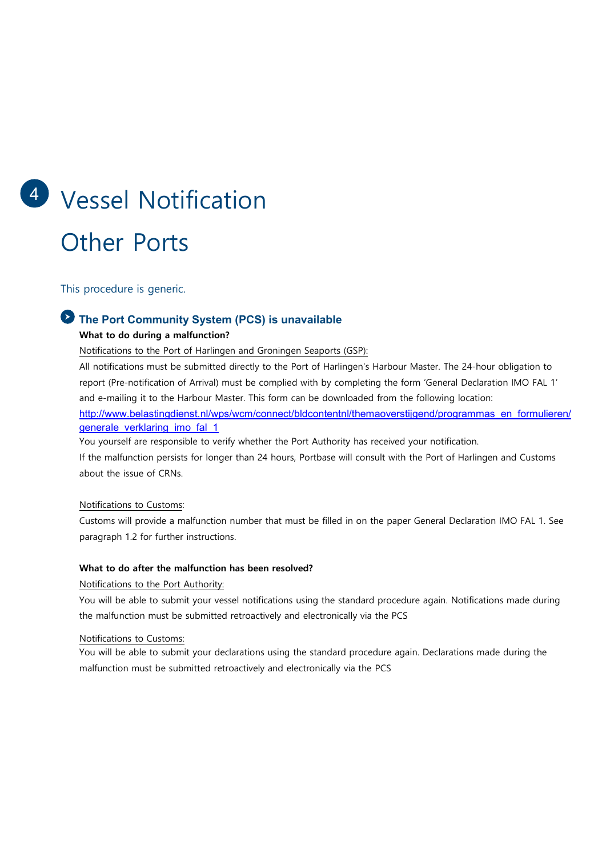# 4 Vessel Notification Other Ports

This procedure is generic.

# The Port Community System (PCS) is unavailable

#### What to do during a malfunction?

Notifications to the Port of Harlingen and Groningen Seaports (GSP):

All notifications must be submitted directly to the Port of Harlingen's Harbour Master. The 24-hour obligation to report (Pre-notification of Arrival) must be complied with by completing the form 'General Declaration IMO FAL 1' and e-mailing it to the Harbour Master. This form can be downloaded from the following location: http://www.belastingdienst.nl/wps/wcm/connect/bldcontentnl/themaoverstijgend/programmas\_en\_formulieren/ generale\_verklaring\_imo\_fal\_1

You yourself are responsible to verify whether the Port Authority has received your notification.

If the malfunction persists for longer than 24 hours, Portbase will consult with the Port of Harlingen and Customs about the issue of CRNs.

#### Notifications to Customs:

Customs will provide a malfunction number that must be filled in on the paper General Declaration IMO FAL 1. See paragraph 1.2 for further instructions.

#### What to do after the malfunction has been resolved?

Notifications to the Port Authority:

You will be able to submit your vessel notifications using the standard procedure again. Notifications made during the malfunction must be submitted retroactively and electronically via the PCS

#### Notifications to Customs:

You will be able to submit your declarations using the standard procedure again. Declarations made during the malfunction must be submitted retroactively and electronically via the PCS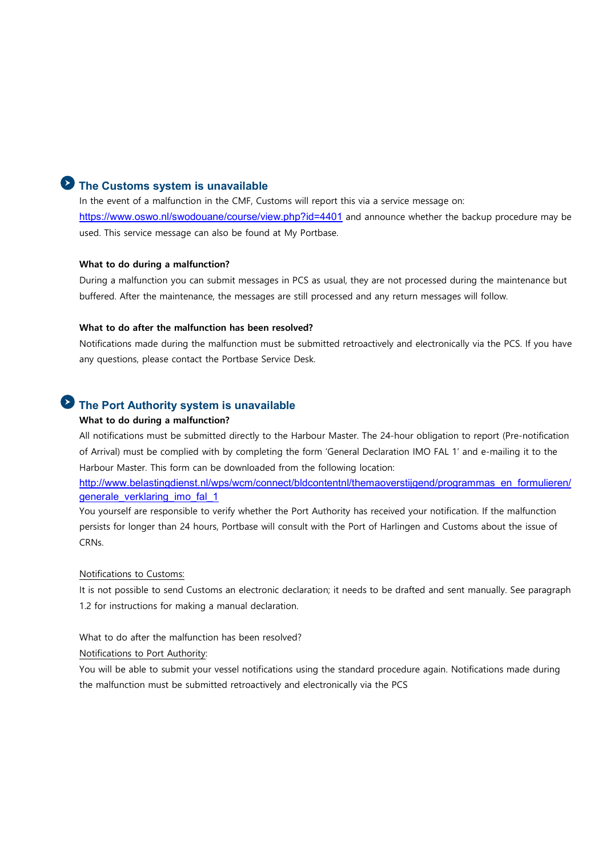### The Customs system is unavailable

In the event of a malfunction in the CMF, Customs will report this via a service message on: https://www.oswo.nl/swodouane/course/view.php?id=4401 and announce whether the backup procedure may be used. This service message can also be found at My Portbase.

#### What to do during a malfunction?

During a malfunction you can submit messages in PCS as usual, they are not processed during the maintenance but buffered. After the maintenance, the messages are still processed and any return messages will follow.

#### What to do after the malfunction has been resolved?

Notifications made during the malfunction must be submitted retroactively and electronically via the PCS. If you have any questions, please contact the Portbase Service Desk.

## The Port Authority system is unavailable

#### What to do during a malfunction?

All notifications must be submitted directly to the Harbour Master. The 24-hour obligation to report (Pre-notification of Arrival) must be complied with by completing the form 'General Declaration IMO FAL 1' and e-mailing it to the Harbour Master. This form can be downloaded from the following location:

http://www.belastingdienst.nl/wps/wcm/connect/bldcontentnl/themaoverstijgend/programmas\_en\_formulieren/ generale\_verklaring\_imo\_fal\_1

You yourself are responsible to verify whether the Port Authority has received your notification. If the malfunction persists for longer than 24 hours, Portbase will consult with the Port of Harlingen and Customs about the issue of CRNs.

#### Notifications to Customs:

It is not possible to send Customs an electronic declaration; it needs to be drafted and sent manually. See paragraph 1.2 for instructions for making a manual declaration.

What to do after the malfunction has been resolved?

#### Notifications to Port Authority:

You will be able to submit your vessel notifications using the standard procedure again. Notifications made during the malfunction must be submitted retroactively and electronically via the PCS